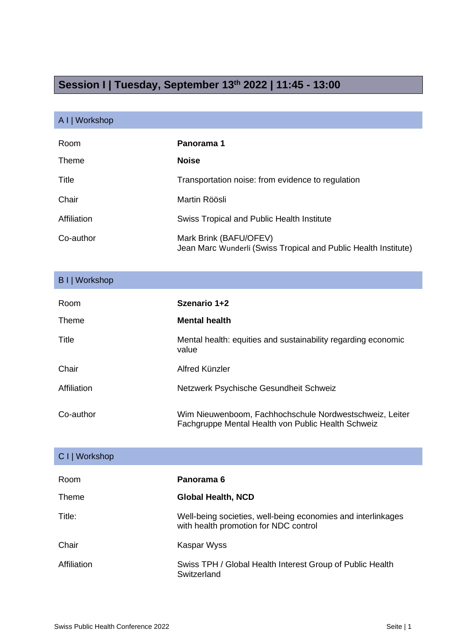## **Session I | Tuesday, September 13th 2022 | 11:45 - 13:00**

## A I | Workshop

| Room        | Panorama 1                                                                                |
|-------------|-------------------------------------------------------------------------------------------|
| Theme       | <b>Noise</b>                                                                              |
| Title       | Transportation noise: from evidence to regulation                                         |
| Chair       | Martin Röösli                                                                             |
| Affiliation | Swiss Tropical and Public Health Institute                                                |
| Co-author   | Mark Brink (BAFU/OFEV)<br>Jean Marc Wunderli (Swiss Tropical and Public Health Institute) |

| B I   Workshop |                                                                                                               |
|----------------|---------------------------------------------------------------------------------------------------------------|
| Room           | Szenario 1+2                                                                                                  |
| Theme          | <b>Mental health</b>                                                                                          |
| Title          | Mental health: equities and sustainability regarding economic<br>value                                        |
| Chair          | Alfred Künzler                                                                                                |
| Affiliation    | Netzwerk Psychische Gesundheit Schweiz                                                                        |
| Co-author      | Wim Nieuwenboom, Fachhochschule Nordwestschweiz, Leiter<br>Fachgruppe Mental Health von Public Health Schweiz |

| C I   Workshop |                                                                                                       |
|----------------|-------------------------------------------------------------------------------------------------------|
| Room           | Panorama 6                                                                                            |
| Theme          | Global Health, NCD                                                                                    |
| Title:         | Well-being societies, well-being economies and interlinkages<br>with health promotion for NDC control |
| Chair          | Kaspar Wyss                                                                                           |
| Affiliation    | Swiss TPH / Global Health Interest Group of Public Health<br>Switzerland                              |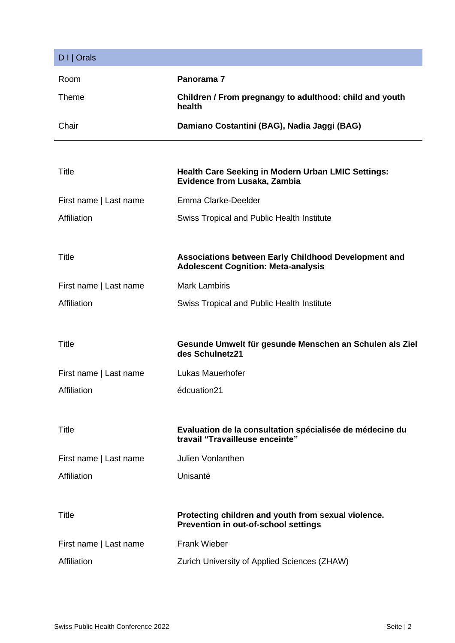| $D I  $ Orals          |                                                                                                    |
|------------------------|----------------------------------------------------------------------------------------------------|
| Room                   | Panorama 7                                                                                         |
| <b>Theme</b>           | Children / From pregnangy to adulthood: child and youth<br>health                                  |
| Chair                  | Damiano Costantini (BAG), Nadia Jaggi (BAG)                                                        |
|                        |                                                                                                    |
| Title                  | <b>Health Care Seeking in Modern Urban LMIC Settings:</b><br>Evidence from Lusaka, Zambia          |
| First name   Last name | Emma Clarke-Deelder                                                                                |
| Affiliation            | Swiss Tropical and Public Health Institute                                                         |
|                        |                                                                                                    |
| <b>Title</b>           | Associations between Early Childhood Development and<br><b>Adolescent Cognition: Meta-analysis</b> |
| First name   Last name | <b>Mark Lambiris</b>                                                                               |
| Affiliation            | <b>Swiss Tropical and Public Health Institute</b>                                                  |
|                        |                                                                                                    |
| <b>Title</b>           | Gesunde Umwelt für gesunde Menschen an Schulen als Ziel<br>des Schulnetz21                         |
| First name   Last name | Lukas Mauerhofer                                                                                   |
| Affiliation            | édcuation21                                                                                        |
|                        |                                                                                                    |
| Title                  | Evaluation de la consultation spécialisée de médecine du<br>travail "Travailleuse enceinte"        |
| First name   Last name | <b>Julien Vonlanthen</b>                                                                           |
| Affiliation            | Unisanté                                                                                           |
|                        |                                                                                                    |
| <b>Title</b>           | Protecting children and youth from sexual violence.<br>Prevention in out-of-school settings        |
| First name   Last name | <b>Frank Wieber</b>                                                                                |
| Affiliation            | Zurich University of Applied Sciences (ZHAW)                                                       |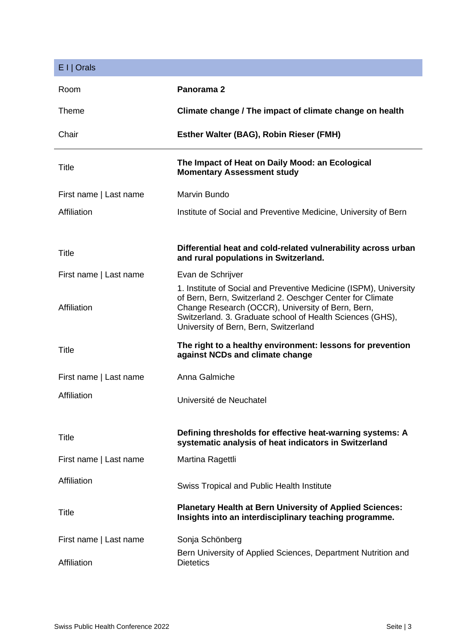| $E I  $ Orals          |                                                                                                                                                                                                                                                                                           |
|------------------------|-------------------------------------------------------------------------------------------------------------------------------------------------------------------------------------------------------------------------------------------------------------------------------------------|
| Room                   | Panorama 2                                                                                                                                                                                                                                                                                |
| Theme                  | Climate change / The impact of climate change on health                                                                                                                                                                                                                                   |
| Chair                  | Esther Walter (BAG), Robin Rieser (FMH)                                                                                                                                                                                                                                                   |
| Title                  | The Impact of Heat on Daily Mood: an Ecological<br><b>Momentary Assessment study</b>                                                                                                                                                                                                      |
| First name   Last name | Marvin Bundo                                                                                                                                                                                                                                                                              |
| Affiliation            | Institute of Social and Preventive Medicine, University of Bern                                                                                                                                                                                                                           |
|                        |                                                                                                                                                                                                                                                                                           |
| <b>Title</b>           | Differential heat and cold-related vulnerability across urban<br>and rural populations in Switzerland.                                                                                                                                                                                    |
| First name   Last name | Evan de Schrijver                                                                                                                                                                                                                                                                         |
| Affiliation            | 1. Institute of Social and Preventive Medicine (ISPM), University<br>of Bern, Bern, Switzerland 2. Oeschger Center for Climate<br>Change Research (OCCR), University of Bern, Bern,<br>Switzerland. 3. Graduate school of Health Sciences (GHS),<br>University of Bern, Bern, Switzerland |
| <b>Title</b>           | The right to a healthy environment: lessons for prevention<br>against NCDs and climate change                                                                                                                                                                                             |
| First name   Last name | Anna Galmiche                                                                                                                                                                                                                                                                             |
| Affiliation            | Université de Neuchatel                                                                                                                                                                                                                                                                   |
| Title                  | Defining thresholds for effective heat-warning systems: A<br>systematic analysis of heat indicators in Switzerland                                                                                                                                                                        |
| First name   Last name | Martina Ragettli                                                                                                                                                                                                                                                                          |
| Affiliation            | <b>Swiss Tropical and Public Health Institute</b>                                                                                                                                                                                                                                         |
| Title                  | <b>Planetary Health at Bern University of Applied Sciences:</b><br>Insights into an interdisciplinary teaching programme.                                                                                                                                                                 |
| First name   Last name | Sonja Schönberg                                                                                                                                                                                                                                                                           |
| Affiliation            | Bern University of Applied Sciences, Department Nutrition and<br><b>Dietetics</b>                                                                                                                                                                                                         |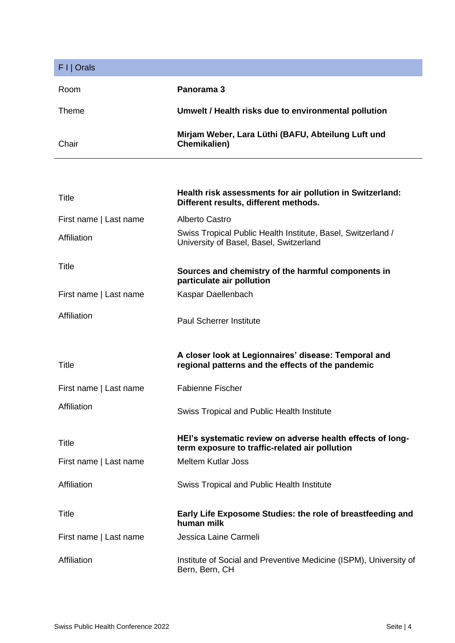| F I   Orals            |                                                                                                              |
|------------------------|--------------------------------------------------------------------------------------------------------------|
| Room                   | Panorama 3                                                                                                   |
| Theme                  | Umwelt / Health risks due to environmental pollution                                                         |
| Chair                  | Mirjam Weber, Lara Lüthi (BAFU, Abteilung Luft und<br>Chemikalien)                                           |
|                        |                                                                                                              |
| Title                  | Health risk assessments for air pollution in Switzerland:<br>Different results, different methods.           |
| First name   Last name | Alberto Castro                                                                                               |
| Affiliation            | Swiss Tropical Public Health Institute, Basel, Switzerland /<br>University of Basel, Basel, Switzerland      |
| Title                  | Sources and chemistry of the harmful components in<br>particulate air pollution                              |
| First name   Last name | Kaspar Daellenbach                                                                                           |
| Affiliation            | <b>Paul Scherrer Institute</b>                                                                               |
| Title                  | A closer look at Legionnaires' disease: Temporal and<br>regional patterns and the effects of the pandemic    |
| First name   Last name | <b>Fabienne Fischer</b>                                                                                      |
| Affiliation            | <b>Swiss Tropical and Public Health Institute</b>                                                            |
| Title                  | HEI's systematic review on adverse health effects of long-<br>term exposure to traffic-related air pollution |
| First name   Last name | <b>Meltem Kutlar Joss</b>                                                                                    |
| Affiliation            | <b>Swiss Tropical and Public Health Institute</b>                                                            |
| Title                  | Early Life Exposome Studies: the role of breastfeeding and<br>human milk                                     |
| First name   Last name | Jessica Laine Carmeli                                                                                        |
| Affiliation            | Institute of Social and Preventive Medicine (ISPM), University of<br>Bern, Bern, CH                          |